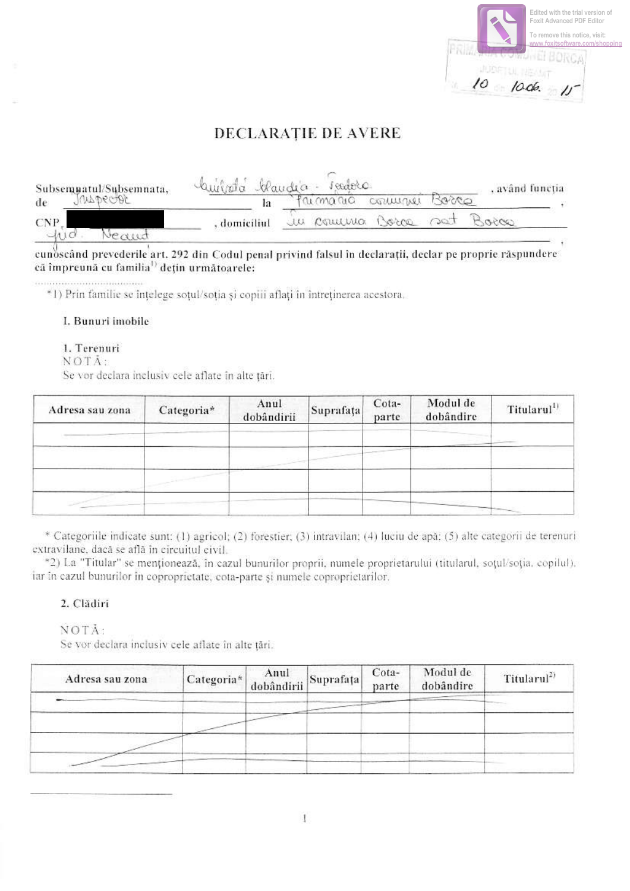|  |  | Edited with the trial version of<br><b>Foxit Advanced PDF Editor</b><br>To remove this notice, visit:<br>www.foxitsoftware.com/shoppin |  |
|--|--|----------------------------------------------------------------------------------------------------------------------------------------|--|
|  |  |                                                                                                                                        |  |

# DECLARATIE DE AVERE

|            | Subsempatul/Subsemnata, | Cuinta blandia - sedere |  |                       | , având funcția |  |
|------------|-------------------------|-------------------------|--|-----------------------|-----------------|--|
| de         | WADECOR                 |                         |  | Primario comune Borco |                 |  |
| <b>CNP</b> |                         | , domiciliul            |  | u comuna Borca.       | 0050            |  |
| -ave       |                         |                         |  |                       |                 |  |

cunoscând prevederile art. 292 din Codul penal privind falsul în declarații, declar pe proprie răspundere că împreună cu familia<sup>1)</sup> dețin următoarele:

\*1) Prin familie se înțelege soțul/soția și copiii aflați în întreținerea acestora.

## I. Bunuri imobile

## 1. Terenuri

NOTĀ:

Se vor declara inclusiv cele aflate în alte țări.

| Adresa sau zona | Categoria* | Anul<br>dobândirii | Suprafața | Cota-<br>parte | Modul de<br>dobândire | Titularul <sup>1)</sup> |
|-----------------|------------|--------------------|-----------|----------------|-----------------------|-------------------------|
|                 |            |                    |           |                |                       |                         |
|                 |            |                    |           |                |                       |                         |
|                 |            |                    |           |                |                       |                         |

\* Categoriile indicate sunt: (1) agricol; (2) forestier; (3) intravilan; (4) luciu de apă; (5) alte categorii de terenuri extravilane, dacă se află în circuitul civil.

\*2) La "Titular" se menționează, în cazul bunurilor proprii, numele proprietarului (titularul, soțul/soția, copilul). iar în cazul bunurilor în coproprietate, cota-parte și numele coproprietarilor.

## 2. Clădiri

NOTĂ:

Se vor declara inclusiv cele aflate în alte țări.

| Adresa sau zona | Categoria* | Anul<br>dobândirii Suprafața | Cota-<br>parte | Modul de<br>dobândire | Titularul <sup>2)</sup> |
|-----------------|------------|------------------------------|----------------|-----------------------|-------------------------|
|                 |            |                              |                |                       |                         |
|                 |            |                              |                |                       |                         |
|                 |            |                              |                |                       |                         |

 $\mathbf{1}$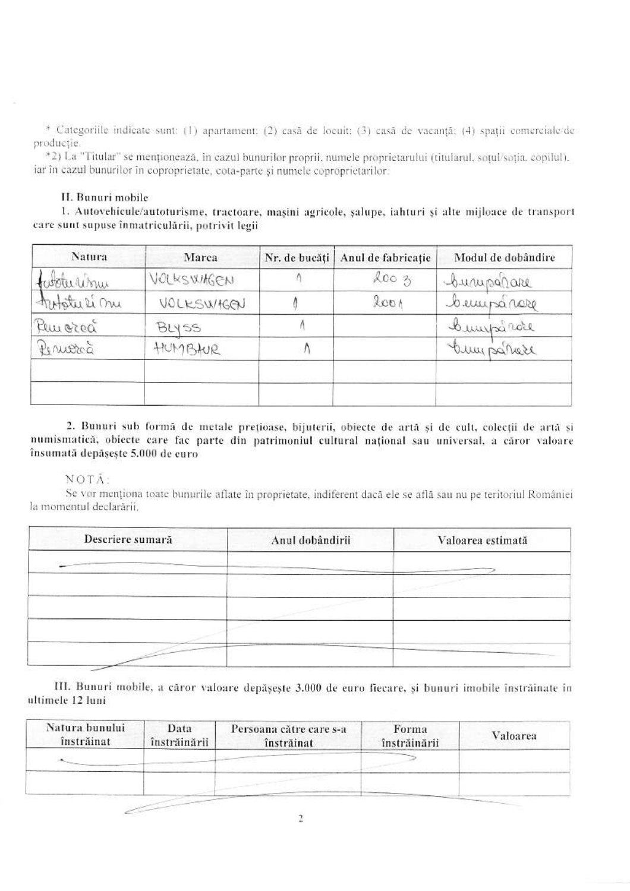\* Categoriile indicate sunt: (1) apartament; (2) casă de locuit; (3) casă de vacanță; (4) spații comerciale/de productie.

\*2) La "Titular" se menționează, în cazul bunurilor proprii, numele proprietarului (titularul, sotul/soția, copilul). iar în cazul bunurilor în coproprietate, cota-parte și numele coproprietarilor.

# II. Bunuri mobile

1. Autovehicule/autoturisme, tractoare, mașini agricole, șalupe, iahturi și alte mijloace de transport care sunt supuse înmatriculării, potrivit legii

| Natura                       | Marca       | Nr. de bucăți   Anul de fabricație | Modul de dobândire |
|------------------------------|-------------|------------------------------------|--------------------|
|                              | VOLKSWIKGEN | 2003                               | Commodare          |
| faboturisme<br>Fatster si nu | VOLKSWIGEN  | 2001                               | bemparare          |
| Peurorea                     | BLYSS       |                                    | bumparde           |
| Bernetoca                    | HUMBHUR     |                                    | tumpanese          |
|                              |             |                                    |                    |
|                              |             |                                    |                    |

2. Bunuri sub formă de metale prețioase, bijuterii, obiecte de artă și de cult, colecții de artă și numismatică, obiecte care fac parte din patrimoniul cultural național sau universal, a căror valoare însumată depășește 5.000 de euro

#### NOTA:

Se vor menționa toate bunurile aflate în proprietate, indiferent dacă ele se află sau nu pe teritoriul României la momentul declarării.

| Descriere sumară | Anul dobândirii | Valoarea estimată |
|------------------|-----------------|-------------------|
|                  |                 |                   |
|                  |                 |                   |
|                  |                 |                   |
|                  |                 |                   |
|                  |                 |                   |

III. Bunuri mobile, a căror valoare depășește 3.000 de euro fiecare, și bunuri imobile înstrăinate în ultimele 12 luni

| Natura bunului<br>înstrăinat | Data<br>înstrăinării | Persoana către care s-a<br>înstrăinat | Forma<br>înstrăinării | Valoarea |
|------------------------------|----------------------|---------------------------------------|-----------------------|----------|
|                              |                      |                                       |                       |          |
|                              |                      |                                       |                       |          |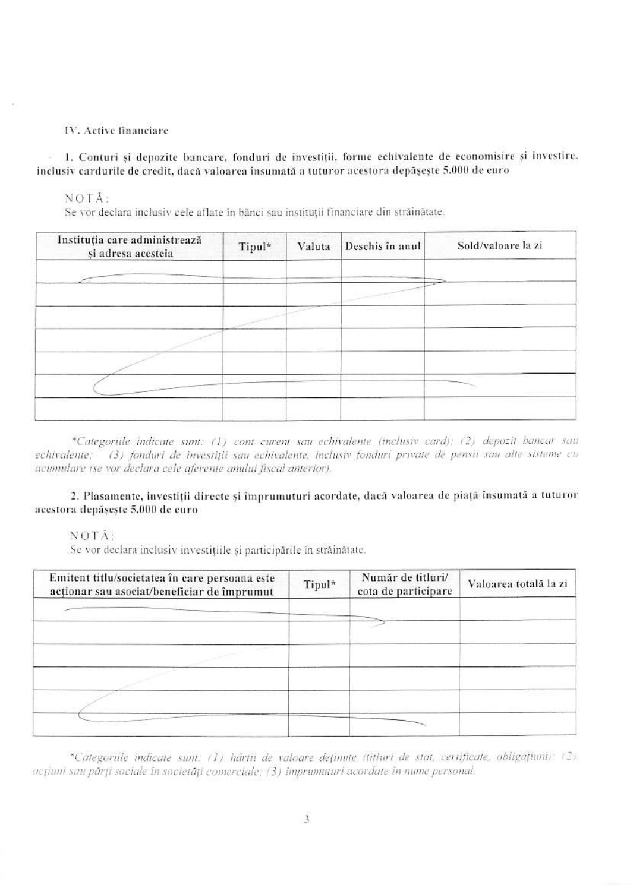#### IV. Active financiare

1. Conturi și depozite bancare, fonduri de investiții, forme echivalente de economisire și investire, inclusiv cardurile de credit, dacă valoarea însumată a tuturor acestora depășește 5.000 de euro

NOTĂ:

Se vor declara inclusiv cele aflate în bănci sau instituții financiare din străinătate.

| Instituția care administrează<br>și adresa acesteia | Tipul* | Valuta | Deschis în anul | Sold/valoare la zi |
|-----------------------------------------------------|--------|--------|-----------------|--------------------|
|                                                     |        |        |                 |                    |
|                                                     |        |        |                 |                    |
|                                                     |        |        |                 |                    |
|                                                     |        |        |                 |                    |
|                                                     |        |        |                 |                    |

\*Categoriile indicate sunt: (1) cont curent sau echivalente (inclusiv card); (2) depozit bancar sau echivalente; (3) fonduri de investiții sau echivalente, inclusiv fonduri private de pensii sau alte sisteme cu acumulare (se vor declara cele aferente amului fiscal anterior).

# 2. Plasamente, investiții directe și împrumuturi acordate, dacă valoarea de piață însumată a tuturor acestora depășește 5,000 de euro

NOTA:

Se vor declara inclusiv investițiile și participările în străinătate.

| Emitent titlu/societatea în care persoana este<br>actionar sau asociat/beneficiar de împrumut | Tipul* | Număr de titluri/<br>cota de participare | Valoarea totală la zi |
|-----------------------------------------------------------------------------------------------|--------|------------------------------------------|-----------------------|
|                                                                                               |        |                                          |                       |
|                                                                                               |        |                                          |                       |
|                                                                                               |        |                                          |                       |
|                                                                                               |        |                                          |                       |
|                                                                                               |        |                                          |                       |

\*Categoriile indicate sunt: (1) hârtii de valoare dețimite (titluri de stat, certificate, obligațiuni): (2) aețiuni sau părți sociale în societăți comerciale; (3) imprumuturi acordate în nume personal.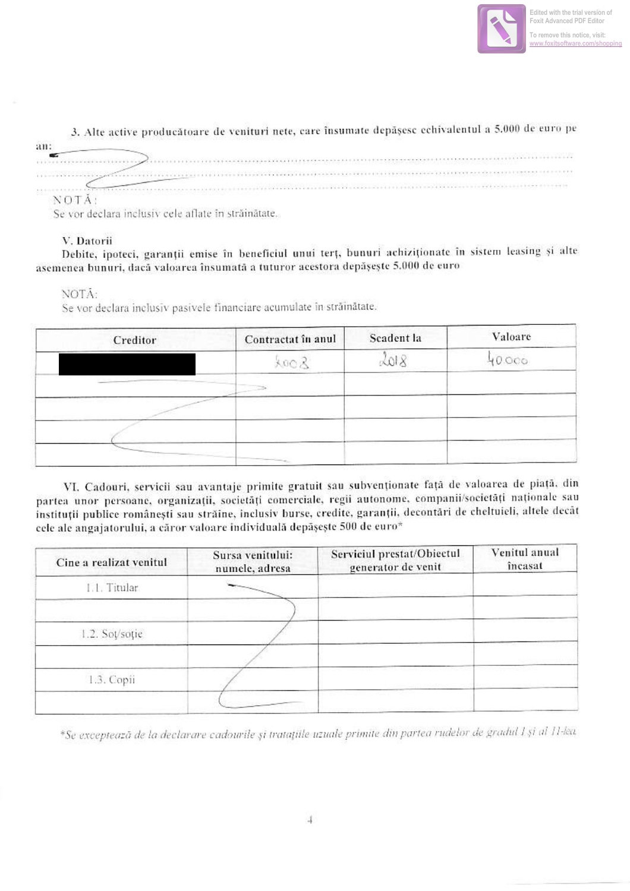

#### 3. Alte active producătoare de venituri nete, care însumate depășesc echivalentul a 5.000 de euro pe an: œ NOTĂ:

Se vor declara inclusiv cele aflate în străinătate.

## V. Datorii

Debite, ipoteci, garanții emise în beneficiul unui terț, bunuri achiziționate în sistem leasing și alte asemenea bunuri, dacă valoarea însumată a tuturor acestora depășește 5.000 de euro

## NOTÁ:

Se vor declara inclusiv pasivele financiare acumulate în străinătate.

| Creditor | Contractat în anul            | Scadent la | Valoare |
|----------|-------------------------------|------------|---------|
|          | 800 R                         | 2018       | OCO     |
|          |                               |            |         |
|          |                               |            |         |
|          |                               |            |         |
|          | Contract Contract Contract of |            |         |

VI. Cadouri, servicii sau avantaje primite gratuit sau subvenționate față de valoarea de piață, din partea unor persoane, organizații, societăți comerciale, regii autonome, companii/societăți naționale sau instituții publice românești sau străine, inclusiv burse, credite, garanții, decontări de cheltuieli, altele decât cele ale angajatorului, a căror valoare individuală depășește 500 de euro\*

| Cine a realizat venitul | Sursa venitului:<br>numele, adresa | Serviciul prestat/Obiectul<br>generator de venit | Venitul anual<br>încasat |
|-------------------------|------------------------------------|--------------------------------------------------|--------------------------|
| 1.1. Titular            |                                    |                                                  |                          |
| 1.2. Soț/soție          |                                    |                                                  |                          |
| 1.3. Copii              |                                    |                                                  |                          |
|                         |                                    |                                                  |                          |

\*Se exceptează de la declarare cadourile și tratațiile uzuale primite din partea rudelor de gradul 1 și al 11-lea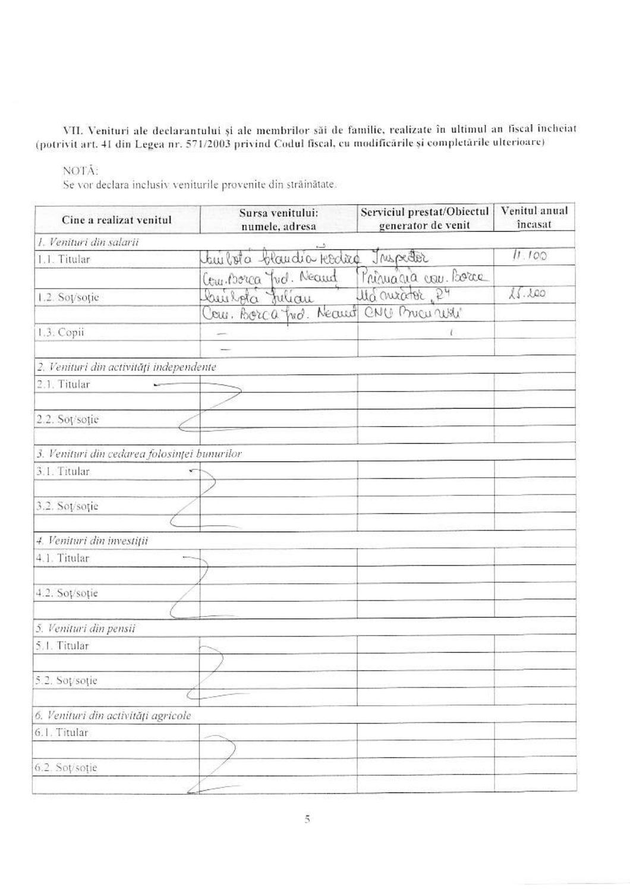VII. Venituri ale declarantului și ale membrilor săi de familie, realizate în ultimul an fiscal încheiat (potrivit art. 41 din Legea nr. 571/2003 privind Codul fiscal, cu modificările și completările ulterioare)

# NOTĂ:

Se vor declara inclusiv veniturile provenite din străinătate.

| Cine a realizat venitul                      | Sursa venitului:<br>numele, adresa      | Serviciul prestat/Obiectul<br>generator de venit | Venitul anual<br>încasat |  |  |
|----------------------------------------------|-----------------------------------------|--------------------------------------------------|--------------------------|--|--|
| 1. Venituri din salarii                      |                                         |                                                  | 11.100                   |  |  |
| 1.1. Titular                                 | builota blandia kedira<br>Jaspeder      |                                                  |                          |  |  |
|                                              | Com Borca Yud. Neared                   | Principale con. Borce                            |                          |  |  |
| 1.2. Sot/soție                               | builota Julian                          | us motor P4                                      | 15.100                   |  |  |
|                                              | Cour. Borca fred. Neared CNU Price with |                                                  |                          |  |  |
| 1.3. Copii                                   |                                         | ŧ                                                |                          |  |  |
|                                              |                                         |                                                  |                          |  |  |
| 2. Venituri din activități independente      |                                         |                                                  |                          |  |  |
| 2.1. Titular                                 |                                         |                                                  |                          |  |  |
|                                              |                                         |                                                  |                          |  |  |
| 2.2. Sot/sotie                               |                                         |                                                  |                          |  |  |
|                                              |                                         |                                                  |                          |  |  |
| 3. Venituri din cedarea folosinței bunurilor |                                         |                                                  |                          |  |  |
| 3.1. Titular                                 | ×                                       |                                                  |                          |  |  |
|                                              |                                         |                                                  |                          |  |  |
| 3.2. Soț/soție                               |                                         |                                                  |                          |  |  |
|                                              |                                         |                                                  |                          |  |  |
| 4. Venituri din investiții                   |                                         |                                                  |                          |  |  |
| 4.1. Titular                                 |                                         |                                                  |                          |  |  |
|                                              |                                         |                                                  |                          |  |  |
| 4.2. Soț/soție                               |                                         |                                                  |                          |  |  |
|                                              |                                         |                                                  |                          |  |  |
| 5. Venituri din pensii                       |                                         |                                                  |                          |  |  |
| 5.1. Titular                                 |                                         |                                                  |                          |  |  |
|                                              |                                         |                                                  |                          |  |  |
| 5.2. Soț/soție                               |                                         |                                                  |                          |  |  |
|                                              |                                         |                                                  |                          |  |  |
| 6. Venituri din activități agricole          |                                         |                                                  |                          |  |  |
| 6.1. Titular                                 |                                         |                                                  |                          |  |  |
|                                              |                                         |                                                  |                          |  |  |
| 6.2. Sot/sotie                               |                                         |                                                  |                          |  |  |
|                                              |                                         |                                                  |                          |  |  |